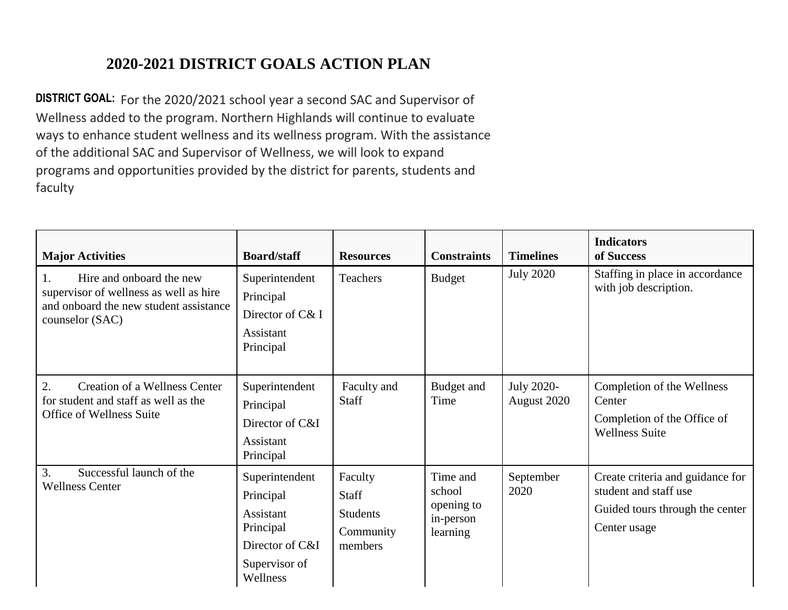## **2020-2021 DISTRICT GOALS ACTION PLAN**

**DISTRICT GOAL:** For the 2020/2021 school year a second SAC and Supervisor of Wellness added to the program. Northern Highlands will continue to evaluate ways to enhance student wellness and its wellness program. With the assistance of the additional SAC and Supervisor of Wellness, we will look to expand programs and opportunities provided by the district for parents, students and faculty

| <b>Major Activities</b>                                                                                                               | <b>Board/staff</b>                                                                                    | <b>Resources</b>                                            | <b>Constraints</b>                                        | <b>Timelines</b>                 | <b>Indicators</b><br>of Success                                                                              |
|---------------------------------------------------------------------------------------------------------------------------------------|-------------------------------------------------------------------------------------------------------|-------------------------------------------------------------|-----------------------------------------------------------|----------------------------------|--------------------------------------------------------------------------------------------------------------|
| Hire and onboard the new<br>1.<br>supervisor of wellness as well as hire<br>and onboard the new student assistance<br>counselor (SAC) | Superintendent<br>Principal<br>Director of C& I<br>Assistant<br>Principal                             | Teachers                                                    | <b>Budget</b>                                             | <b>July 2020</b>                 | Staffing in place in accordance<br>with job description.                                                     |
| <b>Creation of a Wellness Center</b><br>2.<br>for student and staff as well as the<br>Office of Wellness Suite                        | Superintendent<br>Principal<br>Director of C&I<br>Assistant<br>Principal                              | Faculty and<br><b>Staff</b>                                 | Budget and<br>Time                                        | <b>July 2020-</b><br>August 2020 | Completion of the Wellness<br>Center<br>Completion of the Office of<br><b>Wellness Suite</b>                 |
| Successful launch of the<br>3.<br><b>Wellness Center</b>                                                                              | Superintendent<br>Principal<br>Assistant<br>Principal<br>Director of C&I<br>Supervisor of<br>Wellness | Faculty<br>Staff<br><b>Students</b><br>Community<br>members | Time and<br>school<br>opening to<br>in-person<br>learning | September<br>2020                | Create criteria and guidance for<br>student and staff use<br>Guided tours through the center<br>Center usage |